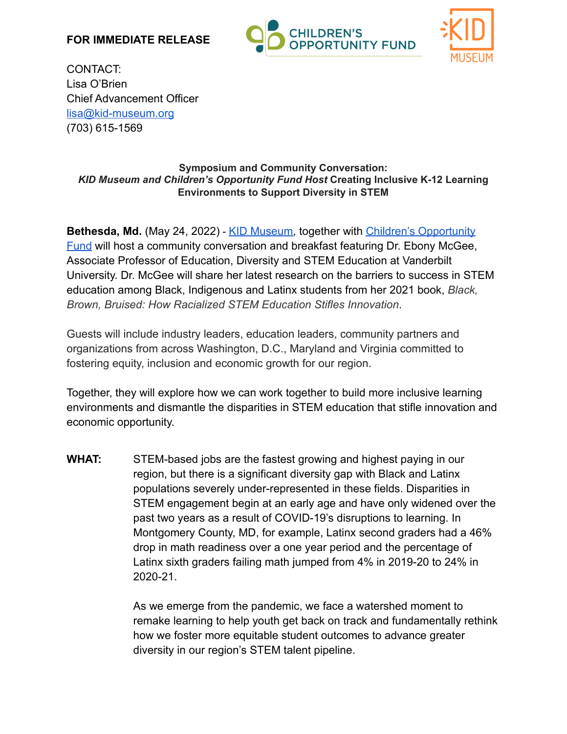### **FOR IMMEDIATE RELEASE**





CONTACT: Lisa O'Brien Chief Advancement Officer [lisa@kid-museum.org](mailto:lisa@kid-museum.org) (703) 615-1569

#### **Symposium and Community Conversation:** *KID Museum and Children's Opportunity Fund Host* **Creating Inclusive K-12 Learning Environments to Support Diversity in STEM**

**Bethesda, Md.** (May 24, 2022) - [KID Museum,](https://kid-museum.org/) together with [Children's Opportunity](https://www.thecommunityfoundation.org/childrensopportunityfund) [Fund](https://www.thecommunityfoundation.org/childrensopportunityfund) will host a community conversation and breakfast featuring Dr. Ebony McGee, Associate Professor of Education, Diversity and STEM Education at Vanderbilt University. Dr. McGee will share her latest research on the barriers to success in STEM education among Black, Indigenous and Latinx students from her 2021 book, *Black, Brown, Bruised: How Racialized STEM Education Stifles Innovation*.

Guests will include industry leaders, education leaders, community partners and organizations from across Washington, D.C., Maryland and Virginia committed to fostering equity, inclusion and economic growth for our region.

Together, they will explore how we can work together to build more inclusive learning environments and dismantle the disparities in STEM education that stifle innovation and economic opportunity.

**WHAT:** STEM-based jobs are the fastest growing and highest paying in our region, but there is a significant diversity gap with Black and Latinx populations severely under-represented in these fields. Disparities in STEM engagement begin at an early age and have only widened over the past two years as a result of COVID-19's disruptions to learning. In Montgomery County, MD, for example, Latinx second graders had a 46% drop in math readiness over a one year period and the percentage of Latinx sixth graders failing math jumped from 4% in 2019-20 to 24% in 2020-21.

> As we emerge from the pandemic, we face a watershed moment to remake learning to help youth get back on track and fundamentally rethink how we foster more equitable student outcomes to advance greater diversity in our region's STEM talent pipeline.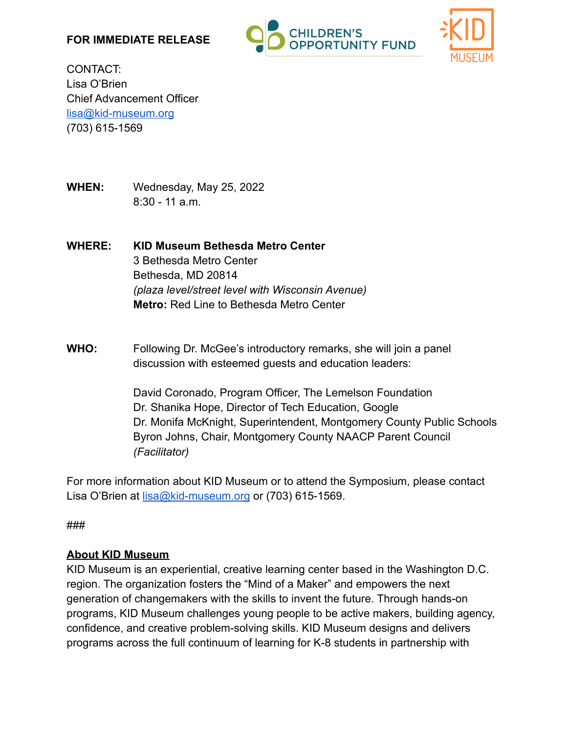### **FOR IMMEDIATE RELEASE**





CONTACT: Lisa O'Brien Chief Advancement Officer [lisa@kid-museum.org](mailto:lisa@kid-museum.org) (703) 615-1569

**WHEN:** Wednesday, May 25, 2022 8:30 - 11 a.m.

# **WHERE: KID Museum Bethesda Metro Center** 3 Bethesda Metro Center Bethesda, MD 20814 *(plaza level/street level with Wisconsin Avenue)* **Metro:** Red Line to Bethesda Metro Center

### **WHO:** Following Dr. McGee's introductory remarks, she will join a panel discussion with esteemed guests and education leaders:

David Coronado, Program Officer, The Lemelson Foundation Dr. Shanika Hope, Director of Tech Education, Google Dr. Monifa McKnight, Superintendent, Montgomery County Public Schools Byron Johns, Chair, Montgomery County NAACP Parent Council *(Facilitator)*

For more information about KID Museum or to attend the Symposium, please contact Lisa O'Brien at [lisa@kid-museum.org](mailto:lisa@kid-museum.org) or (703) 615-1569.

###

#### **About KID Museum**

KID Museum is an experiential, creative learning center based in the Washington D.C. region. The organization fosters the "Mind of a Maker" and empowers the next generation of changemakers with the skills to invent the future. Through hands-on programs, KID Museum challenges young people to be active makers, building agency, confidence, and creative problem-solving skills. KID Museum designs and delivers programs across the full continuum of learning for K-8 students in partnership with